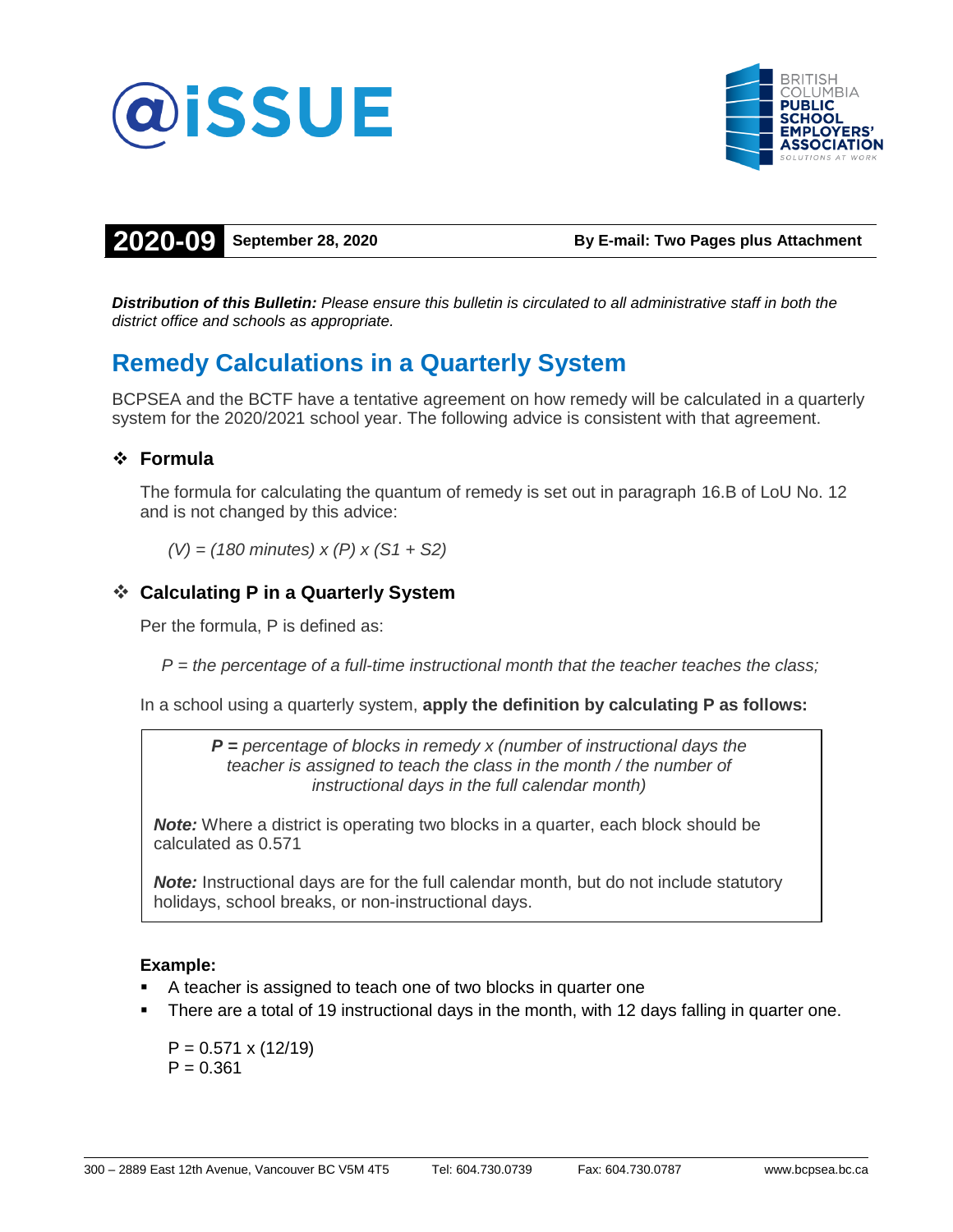



**2020-09 September 28, 2020 By E-mail: Two Pages plus Attachment**

*Distribution of this Bulletin: Please ensure this bulletin is circulated to all administrative staff in both the district office and schools as appropriate.*

# **Remedy Calculations in a Quarterly System**

BCPSEA and the BCTF have a tentative agreement on how remedy will be calculated in a quarterly system for the 2020/2021 school year. The following advice is consistent with that agreement.

## **Formula**

The formula for calculating the quantum of remedy is set out in paragraph 16.B of LoU No. 12 and is not changed by this advice:

*(V) = (180 minutes) x (P) x (S1 + S2)*

# **Calculating P in a Quarterly System**

Per the formula, P is defined as:

*P = the percentage of a full-time instructional month that the teacher teaches the class;*

In a school using a quarterly system, **apply the definition by calculating P as follows:**

*P = percentage of blocks in remedy x (number of instructional days the teacher is assigned to teach the class in the month / the number of instructional days in the full calendar month)*

*Note:* Where a district is operating two blocks in a quarter, each block should be calculated as 0.571

**Note:** Instructional days are for the full calendar month, but do not include statutory holidays, school breaks, or non-instructional days.

### **Example:**

- A teacher is assigned to teach one of two blocks in quarter one
- There are a total of 19 instructional days in the month, with 12 days falling in quarter one.

 $P = 0.571 \times (12/19)$  $P = 0.361$